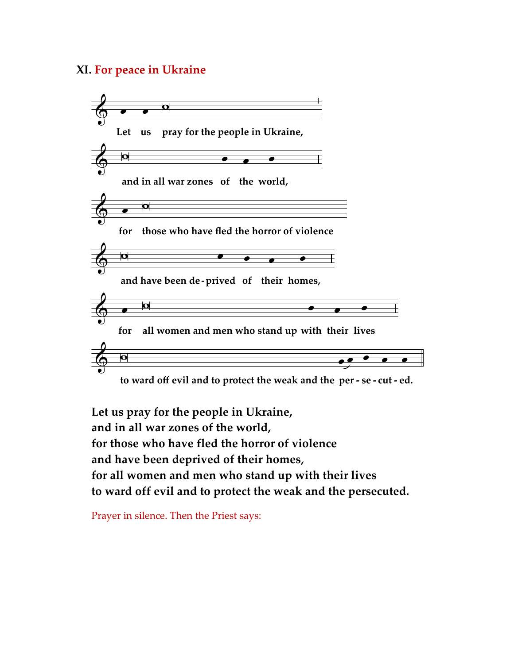## **XI. For peace in Ukraine**



**Let us pray for the people in Ukraine, and in all war zones of the world, for those who have fled the horror of violence and have been deprived of their homes, for all women and men who stand up with their lives to ward off evil and to protect the weak and the persecuted.**

Prayer in silence. Then the Priest says: